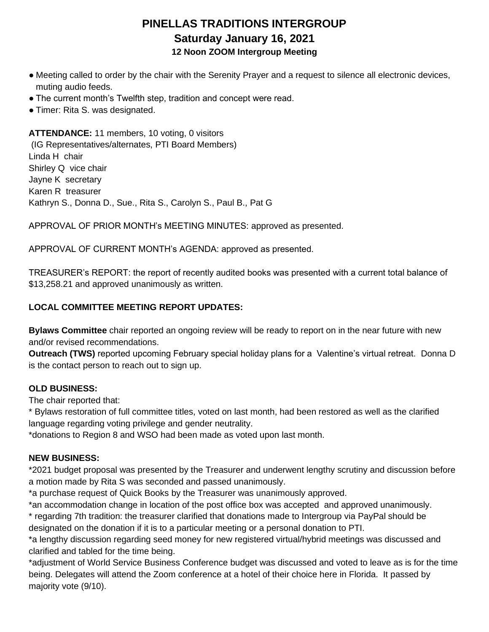# **PINELLAS TRADITIONS INTERGROUP Saturday January 16, 2021 12 Noon ZOOM Intergroup Meeting**

- Meeting called to order by the chair with the Serenity Prayer and a request to silence all electronic devices, muting audio feeds.
- The current month's Twelfth step, tradition and concept were read.
- Timer: Rita S. was designated.

**ATTENDANCE:** 11 members, 10 voting, 0 visitors (IG Representatives/alternates, PTI Board Members) Linda H chair Shirley Q vice chair Jayne K secretary Karen R treasurer Kathryn S., Donna D., Sue., Rita S., Carolyn S., Paul B., Pat G

APPROVAL OF PRIOR MONTH's MEETING MINUTES: approved as presented.

APPROVAL OF CURRENT MONTH's AGENDA: approved as presented.

TREASURER's REPORT: the report of recently audited books was presented with a current total balance of \$13,258.21 and approved unanimously as written.

### **LOCAL COMMITTEE MEETING REPORT UPDATES:**

**Bylaws Committee** chair reported an ongoing review will be ready to report on in the near future with new and/or revised recommendations.

**Outreach (TWS)** reported upcoming February special holiday plans for a Valentine's virtual retreat. Donna D is the contact person to reach out to sign up.

### **OLD BUSINESS:**

The chair reported that:

\* Bylaws restoration of full committee titles, voted on last month, had been restored as well as the clarified language regarding voting privilege and gender neutrality.

\*donations to Region 8 and WSO had been made as voted upon last month.

### **NEW BUSINESS:**

\*2021 budget proposal was presented by the Treasurer and underwent lengthy scrutiny and discussion before a motion made by Rita S was seconded and passed unanimously.

\*a purchase request of Quick Books by the Treasurer was unanimously approved.

\*an accommodation change in location of the post office box was accepted and approved unanimously.

\* regarding 7th tradition: the treasurer clarified that donations made to Intergroup via PayPal should be designated on the donation if it is to a particular meeting or a personal donation to PTI.

\*a lengthy discussion regarding seed money for new registered virtual/hybrid meetings was discussed and clarified and tabled for the time being.

\*adjustment of World Service Business Conference budget was discussed and voted to leave as is for the time being. Delegates will attend the Zoom conference at a hotel of their choice here in Florida. It passed by majority vote (9/10).